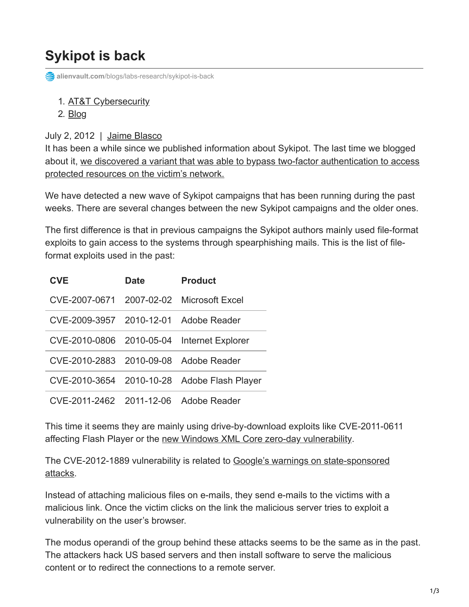## **Sykipot is back**

**alienvault.com**[/blogs/labs-research/sykipot-is-back](https://www.alienvault.com/blogs/labs-research/sykipot-is-back)

## 1. [AT&T Cybersecurity](https://cybersecurity.att.com/)

2. [Blog](https://cybersecurity.att.com/blogs)

## July 2, 2012 | [Jaime Blasco](https://www.alienvault.com/blogs/author/jaime-blasco)

It has been a while since we published information about Sykipot. The last time we blogged [about it, we discovered a variant that was able to bypass two-factor authentication to access](https://www.alienvault.com/open-threat-exchange/blog/when-the-apt-owns-your-smart-cards-and-certs/) protected resources on the victim's network.

We have detected a new wave of Sykipot campaigns that has been running during the past weeks. There are several changes between the new Sykipot campaigns and the older ones.

The first difference is that in previous campaigns the Sykipot authors mainly used file-format exploits to gain access to the systems through spearphishing mails. This is the list of fileformat exploits used in the past:

| <b>CVE</b>                            | <b>Date</b> | <b>Product</b>                              |
|---------------------------------------|-------------|---------------------------------------------|
| CVE-2007-0671                         |             | 2007-02-02 Microsoft Excel                  |
| CVE-2009-3957 2010-12-01 Adobe Reader |             |                                             |
|                                       |             | CVE-2010-0806 2010-05-04 Internet Explorer  |
| CVE-2010-2883 2010-09-08 Adobe Reader |             |                                             |
|                                       |             | CVE-2010-3654 2010-10-28 Adobe Flash Player |
| CVE-2011-2462 2011-12-06 Adobe Reader |             |                                             |

This time it seems they are mainly using drive-by-download exploits like CVE-2011-0611 affecting Flash Player or the [new Windows XML Core zero-day vulnerability.](http://technet.microsoft.com/en-us/security/advisory/2719615)

[The CVE-2012-1889 vulnerability is related to Google's warnings on state-sponsored](http://googleonlinesecurity.blogspot.com.es/2012/06/security-warnings-for-suspected-state.html) attacks.

Instead of attaching malicious files on e-mails, they send e-mails to the victims with a malicious link. Once the victim clicks on the link the malicious server tries to exploit a vulnerability on the user's browser.

The modus operandi of the group behind these attacks seems to be the same as in the past. The attackers hack US based servers and then install software to serve the malicious content or to redirect the connections to a remote server.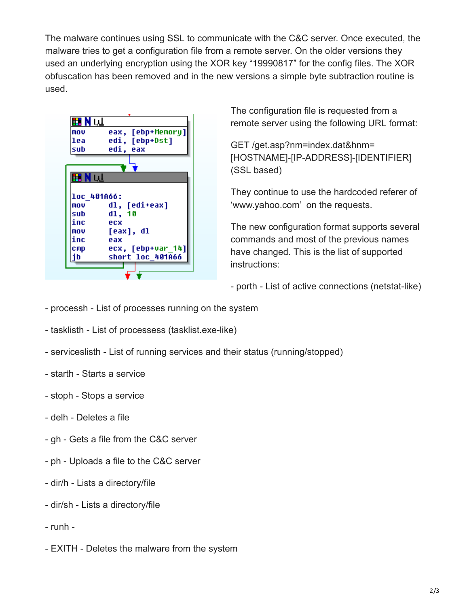The malware continues using SSL to communicate with the C&C server. Once executed, the malware tries to get a configuration file from a remote server. On the older versions they used an underlying encryption using the XOR key "19990817" for the config files. The XOR obfuscation has been removed and in the new versions a simple byte subtraction routine is used.



The configuration file is requested from a remote server using the following URL format:

GET /get.asp?nm=index.dat&hnm= [HOSTNAME]-[IP-ADDRESS]-[IDENTIFIER] (SSL based)

They continue to use the hardcoded referer of 'www.yahoo.com' on the requests.

The new configuration format supports several commands and most of the previous names have changed. This is the list of supported instructions:

- porth - List of active connections (netstat-like)

- processh List of processes running on the system
- tasklisth List of processess (tasklist.exe-like)
- serviceslisth List of running services and their status (running/stopped)
- starth Starts a service
- stoph Stops a service
- delh Deletes a file
- gh Gets a file from the C&C server
- ph Uploads a file to the C&C server
- dir/h Lists a directory/file
- dir/sh Lists a directory/file
- runh -
- EXITH Deletes the malware from the system